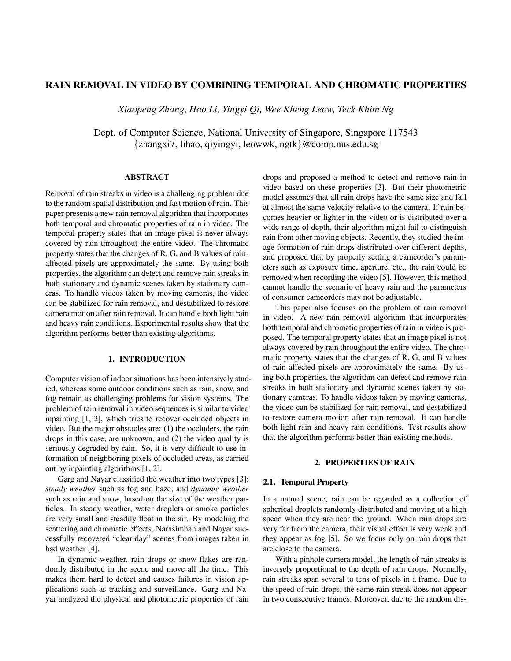# **RAIN REMOVAL IN VIDEO BY COMBINING TEMPORAL AND CHROMATIC PROPERTIES**

*Xiaopeng Zhang, Hao Li, Yingyi Qi, Wee Kheng Leow, Teck Khim Ng*

Dept. of Computer Science, National University of Singapore, Singapore 117543 *{*zhangxi7, lihao, qiyingyi, leowwk, ngtk*}*@comp.nus.edu.sg

### **ABSTRACT**

Removal of rain streaks in video is a challenging problem due to the random spatial distribution and fast motion of rain. This paper presents a new rain removal algorithm that incorporates both temporal and chromatic properties of rain in video. The temporal property states that an image pixel is never always covered by rain throughout the entire video. The chromatic property states that the changes of R, G, and B values of rainaffected pixels are approximately the same. By using both properties, the algorithm can detect and remove rain streaks in both stationary and dynamic scenes taken by stationary cameras. To handle videos taken by moving cameras, the video can be stabilized for rain removal, and destabilized to restore camera motion after rain removal. It can handle both light rain and heavy rain conditions. Experimental results show that the algorithm performs better than existing algorithms.

# **1. INTRODUCTION**

Computer vision of indoor situations has been intensively studied, whereas some outdoor conditions such as rain, snow, and fog remain as challenging problems for vision systems. The problem of rain removal in video sequences is similar to video inpainting [\[1,](#page-3-0) [2\]](#page-3-1), which tries to recover occluded objects in video. But the major obstacles are: (1) the occluders, the rain drops in this case, are unknown, and (2) the video quality is seriously degraded by rain. So, it is very difficult to use information of neighboring pixels of occluded areas, as carried out by inpainting algorithms [\[1,](#page-3-0) [2\]](#page-3-1).

Garg and Nayar classified the weather into two types [\[3\]](#page-3-2): *steady weather* such as fog and haze, and *dynamic weather* such as rain and snow, based on the size of the weather particles. In steady weather, water droplets or smoke particles are very small and steadily float in the air. By modeling the scattering and chromatic effects, Narasimhan and Nayar successfully recovered "clear day" scenes from images taken in bad weather [\[4\]](#page-3-3).

In dynamic weather, rain drops or snow flakes are randomly distributed in the scene and move all the time. This makes them hard to detect and causes failures in vision applications such as tracking and surveillance. Garg and Nayar analyzed the physical and photometric properties of rain drops and proposed a method to detect and remove rain in video based on these properties [\[3\]](#page-3-2). But their photometric model assumes that all rain drops have the same size and fall at almost the same velocity relative to the camera. If rain becomes heavier or lighter in the video or is distributed over a wide range of depth, their algorithm might fail to distinguish rain from other moving objects. Recently, they studied the image formation of rain drops distributed over different depths, and proposed that by properly setting a camcorder's parameters such as exposure time, aperture, etc., the rain could be removed when recording the video [\[5\]](#page-3-4). However, this method cannot handle the scenario of heavy rain and the parameters of consumer camcorders may not be adjustable.

This paper also focuses on the problem of rain removal in video. A new rain removal algorithm that incorporates both temporal and chromatic properties of rain in video is proposed. The temporal property states that an image pixel is not always covered by rain throughout the entire video. The chromatic property states that the changes of R, G, and B values of rain-affected pixels are approximately the same. By using both properties, the algorithm can detect and remove rain streaks in both stationary and dynamic scenes taken by stationary cameras. To handle videos taken by moving cameras, the video can be stabilized for rain removal, and destabilized to restore camera motion after rain removal. It can handle both light rain and heavy rain conditions. Test results show that the algorithm performs better than existing methods.

# **2. PROPERTIES OF RAIN**

# <span id="page-0-0"></span>**2.1. Temporal Property**

In a natural scene, rain can be regarded as a collection of spherical droplets randomly distributed and moving at a high speed when they are near the ground. When rain drops are very far from the camera, their visual effect is very weak and they appear as fog [\[5\]](#page-3-4). So we focus only on rain drops that are close to the camera.

With a pinhole camera model, the length of rain streaks is inversely proportional to the depth of rain drops. Normally, rain streaks span several to tens of pixels in a frame. Due to the speed of rain drops, the same rain streak does not appear in two consecutive frames. Moreover, due to the random dis-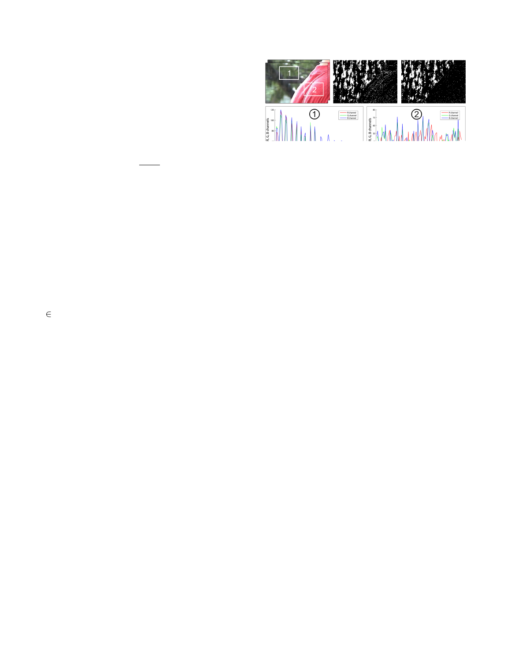

<span id="page-1-0"></span>**Fig. 1**. Temporal property of rain. (a) Image frames of a video (b) Intensity of a pixel that is sometimes covered by rain. (c) Intensity histogram of the pixel exhibits two peaks, one for the background intensity distribution and the other for the rain intensity distribution.

tribution of rain drops, a pixel is not always covered by rain throughout the entire video (Fig. [1\)](#page-1-0). Therefore, in a video of stationary scene taken by a stationary camera, the intensity histogram of a pixel that is sometimes covered by rain exhibits two peaks, one for the background intensity distribution and the other for the rain intensity distribution (Fig.  $1(c)$ ). On the other hand, the intensity histogram of a pixel that is never covered by rain throughout the entire video exhibits only one peak.

#### <span id="page-1-4"></span>**2.2. Chromatic Property**

Garg and Nayar [\[3\]](#page-3-2) showed that a spherical rain drop refracts a wide range of light. So the projection of rain drop in the image is much brighter than its background. Our further investigation shows that the increase in the intensities of R, G, and B channels is dependent on the background scene. Because of the difference in wavelength, blue light has a larger index of refraction and a wider field of view (FOV) than red light (Fig. [2\)](#page-1-1). Therefore, a rain drop should refract more blue light coming from the background. Moreover, the amounts of change of R, G, and B channels, i.e.,  $\Delta R$ ,  $\Delta G$ , and  $\Delta B$ , are related to the actual intensities of R, G, and B channels.



<span id="page-1-1"></span>**Fig. 2**. Fields of Views of R, G, and B lights are different due to the difference in their refractive indices.



<span id="page-1-2"></span>**Fig. 3**. (a) The regions selected for investigation. (b) The mean R, G, and B values of the pixels in the selected regions. (c) The corresponding means and standard deviations of  $\Delta R$ ,  $\Delta G$ , and  $\Delta B$ .

Fig. [3](#page-1-2) illustrates three empirical examples. Fig. [3](#page-1-2) (a) highlights regions in the video in which pixel colors are examined. Fig. [3](#page-1-2) (b) shows the mean R, G, and B values of the pixels in the selected regions, and Fig. [3](#page-1-2) (c) shows the corresponding means and standard deviations of  $\Delta R$ ,  $\Delta G$ , and  $\Delta$ B. These examples show that the mean  $\Delta$ R,  $\Delta$ G, and  $\Delta$ B are indeed different and related to the mean R, G, and B intensities. However, the differences between the mean  $\Delta R$ ,  $\Delta G$ , and  $\Delta B$  are very small because the differences in refraction indices between the channels are very small. We found empirically that the FOVs of red, green, and blue lights are all around 165◦, with very small differences between them. So, for ease of computation, we assume that  $\Delta R$ ,  $\Delta G$ , and  $\Delta B$ are roughly the same for pixels covered by rain drops.

#### **3. RAIN DETECTION AND REMOVAL**

#### <span id="page-1-3"></span>**3.1. K-means Clustering**

From the temporal property discussed in Section [2.1,](#page-0-0) the intensity histogram of a pixel in a video taken by a stationary camera exhibits two peaks. K-means clustering algorithm can be used to identify the two peaks.

For each pixel in the image, its intensity over the entire video is collected to compute its intensity histogram. Then, K-means clustering with  $K = 2$  is applied. The two initial cluster centers  $w_b$  for background and  $w_r$  for rain are initialized to be the smallest and the largest intensities of the his-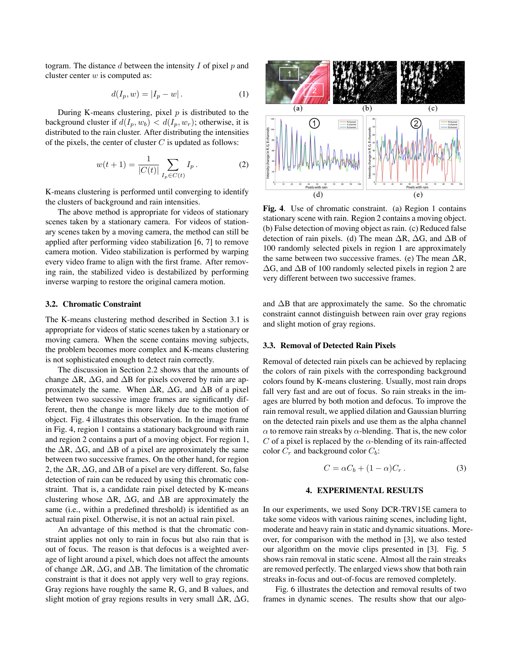togram. The distance d between the intensity I of pixel p and cluster center  $w$  is computed as:

$$
d(I_p, w) = |I_p - w|.
$$
 (1)

During K-means clustering, pixel  $p$  is distributed to the background cluster if  $d(I_p, w_b) < d(I_p, w_r)$ ; otherwise, it is distributed to the rain cluster. After distributing the intensities of the pixels, the center of cluster  $C$  is updated as follows:

$$
w(t+1) = \frac{1}{|C(t)|} \sum_{I_p \in C(t)} I_p.
$$
 (2)

K-means clustering is performed until converging to identify the clusters of background and rain intensities.

The above method is appropriate for videos of stationary scenes taken by a stationary camera. For videos of stationary scenes taken by a moving camera, the method can still be applied after performing video stabilization [\[6,](#page-3-5) [7\]](#page-3-6) to remove camera motion. Video stabilization is performed by warping every video frame to align with the first frame. After removing rain, the stabilized video is destabilized by performing inverse warping to restore the original camera motion.

#### **3.2. Chromatic Constraint**

The K-means clustering method described in Section [3.1](#page-1-3) is appropriate for videos of static scenes taken by a stationary or moving camera. When the scene contains moving subjects, the problem becomes more complex and K-means clustering is not sophisticated enough to detect rain correctly.

The discussion in Section [2.2](#page-1-4) shows that the amounts of change  $\Delta R$ ,  $\Delta G$ , and  $\Delta B$  for pixels covered by rain are approximately the same. When  $\Delta R$ ,  $\Delta G$ , and  $\Delta B$  of a pixel between two successive image frames are significantly different, then the change is more likely due to the motion of object. Fig. [4](#page-2-0) illustrates this observation. In the image frame in Fig. [4,](#page-2-0) region 1 contains a stationary background with rain and region 2 contains a part of a moving object. For region 1, the  $\Delta R$ ,  $\Delta G$ , and  $\Delta B$  of a pixel are approximately the same between two successive frames. On the other hand, for region 2, the  $\Delta R$ ,  $\Delta G$ , and  $\Delta B$  of a pixel are very different. So, false detection of rain can be reduced by using this chromatic constraint. That is, a candidate rain pixel detected by K-means clustering whose  $\Delta R$ ,  $\Delta G$ , and  $\Delta B$  are approximately the same (i.e., within a predefined threshold) is identified as an actual rain pixel. Otherwise, it is not an actual rain pixel.

An advantage of this method is that the chromatic constraint applies not only to rain in focus but also rain that is out of focus. The reason is that defocus is a weighted average of light around a pixel, which does not affect the amounts of change  $\Delta R$ ,  $\Delta G$ , and  $\Delta B$ . The limitation of the chromatic constraint is that it does not apply very well to gray regions. Gray regions have roughly the same R, G, and B values, and slight motion of gray regions results in very small  $\Delta R$ ,  $\Delta G$ ,



<span id="page-2-0"></span>**Fig. 4**. Use of chromatic constraint. (a) Region 1 contains stationary scene with rain. Region 2 contains a moving object. (b) False detection of moving object as rain. (c) Reduced false detection of rain pixels. (d) The mean  $\Delta R$ ,  $\Delta G$ , and  $\Delta B$  of 100 randomly selected pixels in region 1 are approximately the same between two successive frames. (e) The mean  $\Delta R$ ,  $\Delta G$ , and  $\Delta B$  of 100 randomly selected pixels in region 2 are very different between two successive frames.

and  $\Delta B$  that are approximately the same. So the chromatic constraint cannot distinguish between rain over gray regions and slight motion of gray regions.

#### **3.3. Removal of Detected Rain Pixels**

Removal of detected rain pixels can be achieved by replacing the colors of rain pixels with the corresponding background colors found by K-means clustering. Usually, most rain drops fall very fast and are out of focus. So rain streaks in the images are blurred by both motion and defocus. To improve the rain removal result, we applied dilation and Gaussian blurring on the detected rain pixels and use them as the alpha channel  $\alpha$  to remove rain streaks by  $\alpha$ -blending. That is, the new color C of a pixel is replaced by the  $\alpha$ -blending of its rain-affected color  $C_r$  and background color  $C_b$ :

$$
C = \alpha C_b + (1 - \alpha)C_r.
$$
 (3)

#### **4. EXPERIMENTAL RESULTS**

In our experiments, we used Sony DCR-TRV15E camera to take some videos with various raining scenes, including light, moderate and heavy rain in static and dynamic situations. Moreover, for comparison with the method in [\[3\]](#page-3-2), we also tested our algorithm on the movie clips presented in [\[3\]](#page-3-2). Fig. [5](#page-3-7) shows rain removal in static scene. Almost all the rain streaks are removed perfectly. The enlarged views show that both rain streaks in-focus and out-of-focus are removed completely.

Fig. [6](#page-3-8) illustrates the detection and removal results of two frames in dynamic scenes. The results show that our algo-